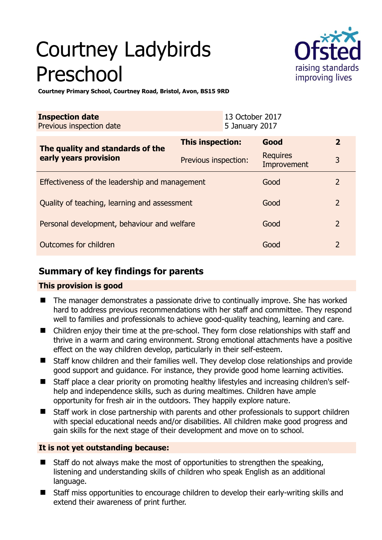# Courtney Ladybirds Preschool



**Courtney Primary School, Courtney Road, Bristol, Avon, BS15 9RD** 

| <b>Inspection date</b><br>Previous inspection date        |                      | 13 October 2017<br>5 January 2017 |                                |                |
|-----------------------------------------------------------|----------------------|-----------------------------------|--------------------------------|----------------|
| The quality and standards of the<br>early years provision | This inspection:     |                                   | Good                           | $\overline{2}$ |
|                                                           | Previous inspection: |                                   | <b>Requires</b><br>Improvement | 3              |
| Effectiveness of the leadership and management            |                      |                                   | Good                           | $\mathcal{L}$  |
| Quality of teaching, learning and assessment              |                      |                                   | Good                           | $\overline{2}$ |
| Personal development, behaviour and welfare               |                      |                                   | Good                           | 2              |
| Outcomes for children                                     |                      |                                   | Good                           | $\mathcal{P}$  |

## **Summary of key findings for parents**

#### **This provision is good**

- The manager demonstrates a passionate drive to continually improve. She has worked hard to address previous recommendations with her staff and committee. They respond well to families and professionals to achieve good-quality teaching, learning and care.
- Children enjoy their time at the pre-school. They form close relationships with staff and thrive in a warm and caring environment. Strong emotional attachments have a positive effect on the way children develop, particularly in their self-esteem.
- Staff know children and their families well. They develop close relationships and provide good support and guidance. For instance, they provide good home learning activities.
- Staff place a clear priority on promoting healthy lifestyles and increasing children's selfhelp and independence skills, such as during mealtimes. Children have ample opportunity for fresh air in the outdoors. They happily explore nature.
- Staff work in close partnership with parents and other professionals to support children with special educational needs and/or disabilities. All children make good progress and gain skills for the next stage of their development and move on to school.

### **It is not yet outstanding because:**

- Staff do not always make the most of opportunities to strengthen the speaking, listening and understanding skills of children who speak English as an additional language.
- Staff miss opportunities to encourage children to develop their early-writing skills and extend their awareness of print further.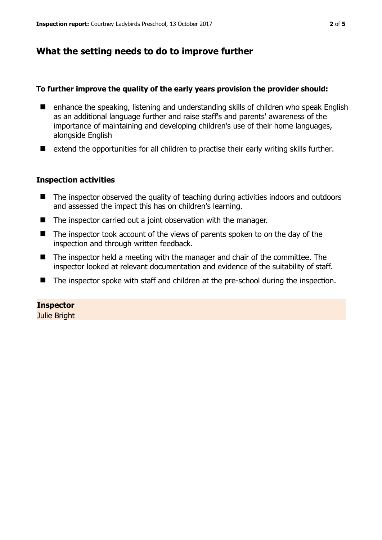## **What the setting needs to do to improve further**

#### **To further improve the quality of the early years provision the provider should:**

- enhance the speaking, listening and understanding skills of children who speak English as an additional language further and raise staff's and parents' awareness of the importance of maintaining and developing children's use of their home languages, alongside English
- $\blacksquare$  extend the opportunities for all children to practise their early writing skills further.

#### **Inspection activities**

- The inspector observed the quality of teaching during activities indoors and outdoors and assessed the impact this has on children's learning.
- $\blacksquare$  The inspector carried out a joint observation with the manager.
- The inspector took account of the views of parents spoken to on the day of the inspection and through written feedback.
- The inspector held a meeting with the manager and chair of the committee. The inspector looked at relevant documentation and evidence of the suitability of staff.
- The inspector spoke with staff and children at the pre-school during the inspection.

#### **Inspector**

Julie Bright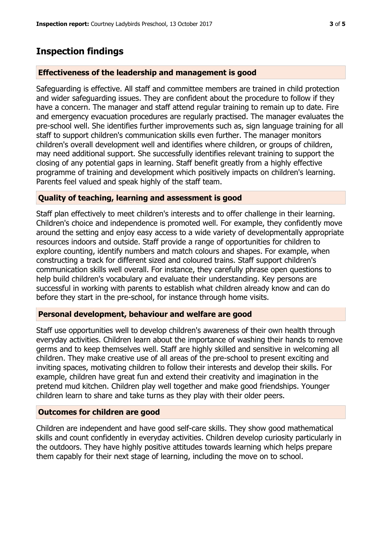## **Inspection findings**

#### **Effectiveness of the leadership and management is good**

Safeguarding is effective. All staff and committee members are trained in child protection and wider safeguarding issues. They are confident about the procedure to follow if they have a concern. The manager and staff attend regular training to remain up to date. Fire and emergency evacuation procedures are regularly practised. The manager evaluates the pre-school well. She identifies further improvements such as, sign language training for all staff to support children's communication skills even further. The manager monitors children's overall development well and identifies where children, or groups of children, may need additional support. She successfully identifies relevant training to support the closing of any potential gaps in learning. Staff benefit greatly from a highly effective programme of training and development which positively impacts on children's learning. Parents feel valued and speak highly of the staff team.

#### **Quality of teaching, learning and assessment is good**

Staff plan effectively to meet children's interests and to offer challenge in their learning. Children's choice and independence is promoted well. For example, they confidently move around the setting and enjoy easy access to a wide variety of developmentally appropriate resources indoors and outside. Staff provide a range of opportunities for children to explore counting, identify numbers and match colours and shapes. For example, when constructing a track for different sized and coloured trains. Staff support children's communication skills well overall. For instance, they carefully phrase open questions to help build children's vocabulary and evaluate their understanding. Key persons are successful in working with parents to establish what children already know and can do before they start in the pre-school, for instance through home visits.

#### **Personal development, behaviour and welfare are good**

Staff use opportunities well to develop children's awareness of their own health through everyday activities. Children learn about the importance of washing their hands to remove germs and to keep themselves well. Staff are highly skilled and sensitive in welcoming all children. They make creative use of all areas of the pre-school to present exciting and inviting spaces, motivating children to follow their interests and develop their skills. For example, children have great fun and extend their creativity and imagination in the pretend mud kitchen. Children play well together and make good friendships. Younger children learn to share and take turns as they play with their older peers.

#### **Outcomes for children are good**

Children are independent and have good self-care skills. They show good mathematical skills and count confidently in everyday activities. Children develop curiosity particularly in the outdoors. They have highly positive attitudes towards learning which helps prepare them capably for their next stage of learning, including the move on to school.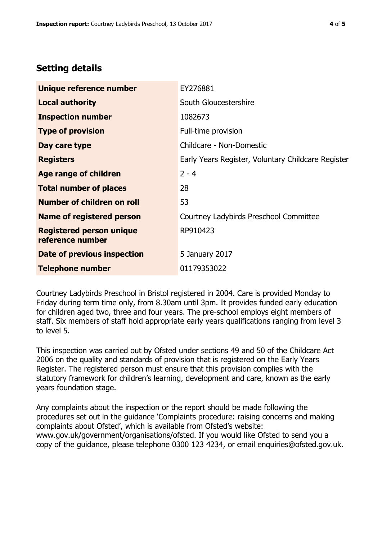## **Setting details**

| Unique reference number                             | EY276881                                           |  |
|-----------------------------------------------------|----------------------------------------------------|--|
| <b>Local authority</b>                              | South Gloucestershire                              |  |
| <b>Inspection number</b>                            | 1082673                                            |  |
| <b>Type of provision</b>                            | Full-time provision                                |  |
| Day care type                                       | Childcare - Non-Domestic                           |  |
| <b>Registers</b>                                    | Early Years Register, Voluntary Childcare Register |  |
| <b>Age range of children</b>                        | $2 - 4$                                            |  |
| <b>Total number of places</b>                       | 28                                                 |  |
| <b>Number of children on roll</b>                   | 53                                                 |  |
| Name of registered person                           | Courtney Ladybirds Preschool Committee             |  |
| <b>Registered person unique</b><br>reference number | RP910423                                           |  |
| Date of previous inspection                         | 5 January 2017                                     |  |
| <b>Telephone number</b>                             | 01179353022                                        |  |

Courtney Ladybirds Preschool in Bristol registered in 2004. Care is provided Monday to Friday during term time only, from 8.30am until 3pm. It provides funded early education for children aged two, three and four years. The pre-school employs eight members of staff. Six members of staff hold appropriate early years qualifications ranging from level 3 to level 5.

This inspection was carried out by Ofsted under sections 49 and 50 of the Childcare Act 2006 on the quality and standards of provision that is registered on the Early Years Register. The registered person must ensure that this provision complies with the statutory framework for children's learning, development and care, known as the early years foundation stage.

Any complaints about the inspection or the report should be made following the procedures set out in the guidance 'Complaints procedure: raising concerns and making complaints about Ofsted', which is available from Ofsted's website: www.gov.uk/government/organisations/ofsted. If you would like Ofsted to send you a copy of the guidance, please telephone 0300 123 4234, or email enquiries@ofsted.gov.uk.